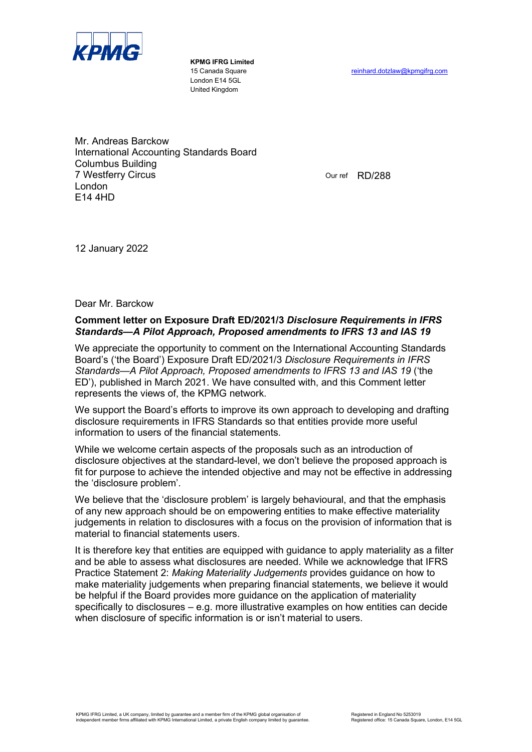

**KPMG IFRG Limited** London E14 5GL United Kingdom

Mr. Andreas Barckow International Accounting Standards Board Columbus Building 7 Westferry Circus London E14 4HD

Our ref RD/288

12 January 2022

Dear Mr. Barckow

#### **Comment letter on Exposure Draft ED/2021/3** *Disclosure Requirements in IFRS Standards—A Pilot Approach, Proposed amendments to IFRS 13 and IAS 19*

We appreciate the opportunity to comment on the International Accounting Standards Board's ('the Board') Exposure Draft ED/2021/3 *Disclosure Requirements in IFRS Standards—A Pilot Approach, Proposed amendments to IFRS 13 and IAS 19* ('the ED'), published in March 2021. We have consulted with, and this Comment letter represents the views of, the KPMG network.

We support the Board's efforts to improve its own approach to developing and drafting disclosure requirements in IFRS Standards so that entities provide more useful information to users of the financial statements.

While we welcome certain aspects of the proposals such as an introduction of disclosure objectives at the standard-level, we don't believe the proposed approach is fit for purpose to achieve the intended objective and may not be effective in addressing the 'disclosure problem'.

We believe that the 'disclosure problem' is largely behavioural, and that the emphasis of any new approach should be on empowering entities to make effective materiality judgements in relation to disclosures with a focus on the provision of information that is material to financial statements users.

It is therefore key that entities are equipped with guidance to apply materiality as a filter and be able to assess what disclosures are needed. While we acknowledge that IFRS Practice Statement 2: *Making Materiality Judgements* provides guidance on how to make materiality judgements when preparing financial statements, we believe it would be helpful if the Board provides more guidance on the application of materiality specifically to disclosures – e.g. more illustrative examples on how entities can decide when disclosure of specific information is or isn't material to users.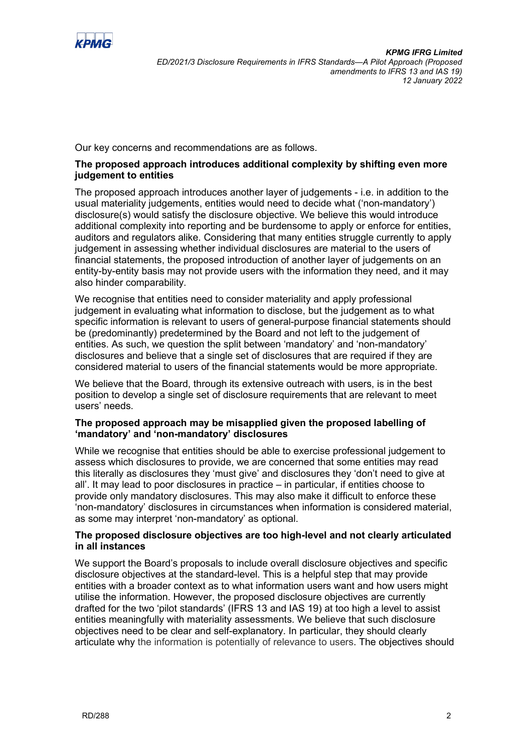

Our key concerns and recommendations are as follows.

# **The proposed approach introduces additional complexity by shifting even more judgement to entities**

The proposed approach introduces another layer of judgements - i.e. in addition to the usual materiality judgements, entities would need to decide what ('non-mandatory') disclosure(s) would satisfy the disclosure objective. We believe this would introduce additional complexity into reporting and be burdensome to apply or enforce for entities, auditors and regulators alike. Considering that many entities struggle currently to apply judgement in assessing whether individual disclosures are material to the users of financial statements, the proposed introduction of another layer of judgements on an entity-by-entity basis may not provide users with the information they need, and it may also hinder comparability.

We recognise that entities need to consider materiality and apply professional judgement in evaluating what information to disclose, but the judgement as to what specific information is relevant to users of general-purpose financial statements should be (predominantly) predetermined by the Board and not left to the judgement of entities. As such, we question the split between 'mandatory' and 'non-mandatory' disclosures and believe that a single set of disclosures that are required if they are considered material to users of the financial statements would be more appropriate.

We believe that the Board, through its extensive outreach with users, is in the best position to develop a single set of disclosure requirements that are relevant to meet users' needs.

### **The proposed approach may be misapplied given the proposed labelling of 'mandatory' and 'non-mandatory' disclosures**

While we recognise that entities should be able to exercise professional judgement to assess which disclosures to provide, we are concerned that some entities may read this literally as disclosures they 'must give' and disclosures they 'don't need to give at all'. It may lead to poor disclosures in practice – in particular, if entities choose to provide only mandatory disclosures. This may also make it difficult to enforce these 'non-mandatory' disclosures in circumstances when information is considered material, as some may interpret 'non-mandatory' as optional.

### **The proposed disclosure objectives are too high-level and not clearly articulated in all instances**

We support the Board's proposals to include overall disclosure objectives and specific disclosure objectives at the standard-level. This is a helpful step that may provide entities with a broader context as to what information users want and how users might utilise the information. However, the proposed disclosure objectives are currently drafted for the two 'pilot standards' (IFRS 13 and IAS 19) at too high a level to assist entities meaningfully with materiality assessments. We believe that such disclosure objectives need to be clear and self-explanatory. In particular, they should clearly articulate why the information is potentially of relevance to users. The objectives should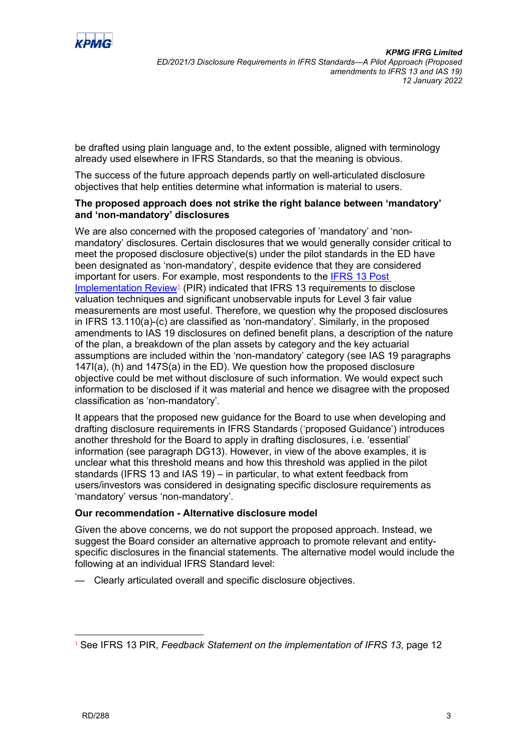

be drafted using plain language and, to the extent possible, aligned with terminology already used elsewhere in IFRS Standards, so that the meaning is obvious.

The success of the future approach depends partly on well-articulated disclosure objectives that help entities determine what information is material to users.

#### **The proposed approach does not strike the right balance between 'mandatory' and 'non-mandatory' disclosures**

We are also concerned with the proposed categories of 'mandatory' and 'nonmandatory' disclosures. Certain disclosures that we would generally consider critical to meet the proposed disclosure objective(s) under the pilot standards in the ED have been designated as 'non-mandatory', despite evidence that they are considered important for users. For example, most respondents to the **IFRS 13 Post** Implementation  $\text{Review}1$  $\text{Review}1$  (PIR) indicated that IFRS 13 requirements to disclose valuation techniques and significant unobservable inputs for Level 3 fair value measurements are most useful. Therefore, we question why the proposed disclosures in IFRS 13.110(a)-(c) are classified as 'non-mandatory'. Similarly, in the proposed amendments to IAS 19 disclosures on defined benefit plans, a description of the nature of the plan, a breakdown of the plan assets by category and the key actuarial assumptions are included within the 'non-mandatory' category (see IAS 19 paragraphs 147I(a), (h) and 147S(a) in the ED). We question how the proposed disclosure objective could be met without disclosure of such information. We would expect such information to be disclosed if it was material and hence we disagree with the proposed classification as 'non-mandatory'.

It appears that the proposed new guidance for the Board to use when developing and drafting disclosure requirements in IFRS Standards ('proposed Guidance') introduces another threshold for the Board to apply in drafting disclosures, i.e. 'essential' information (see paragraph DG13). However, in view of the above examples, it is unclear what this threshold means and how this threshold was applied in the pilot standards (IFRS 13 and IAS 19) – in particular, to what extent feedback from users/investors was considered in designating specific disclosure requirements as 'mandatory' versus 'non-mandatory'.

## **Our recommendation - Alternative disclosure model**

Given the above concerns, we do not support the proposed approach. Instead, we suggest the Board consider an alternative approach to promote relevant and entityspecific disclosures in the financial statements. The alternative model would include the following at an individual IFRS Standard level:

— Clearly articulated overall and specific disclosure objectives.

<span id="page-2-0"></span><sup>1</sup> See IFRS 13 PIR, *Feedback Statement on the implementation of IFRS 13*, page 12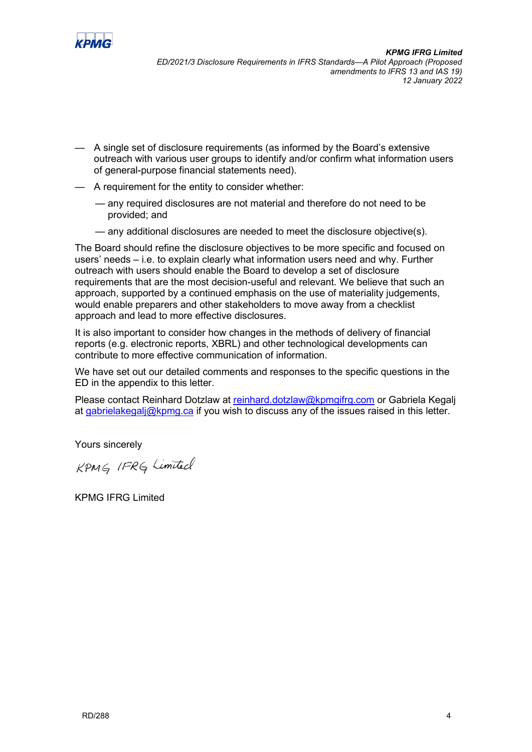

- A single set of disclosure requirements (as informed by the Board's extensive outreach with various user groups to identify and/or confirm what information users of general-purpose financial statements need).
- A requirement for the entity to consider whether:
	- any required disclosures are not material and therefore do not need to be provided; and
	- any additional disclosures are needed to meet the disclosure objective(s).

The Board should refine the disclosure objectives to be more specific and focused on users' needs – i.e. to explain clearly what information users need and why. Further outreach with users should enable the Board to develop a set of disclosure requirements that are the most decision-useful and relevant. We believe that such an approach, supported by a continued emphasis on the use of materiality judgements, would enable preparers and other stakeholders to move away from a checklist approach and lead to more effective disclosures.

It is also important to consider how changes in the methods of delivery of financial reports (e.g. electronic reports, XBRL) and other technological developments can contribute to more effective communication of information.

We have set out our detailed comments and responses to the specific questions in the ED in the appendix to this letter.

Please contact Reinhard Dotzlaw at [reinhard.dotzlaw@kpmgifrg.com](mailto:reinhard.dotzlaw@kpmgifrg.com) or Gabriela Kegalj at [gabrielakegalj@kpmg.ca](mailto:gabrielakegalj@kpmg.com.ca) if you wish to discuss any of the issues raised in this letter.

Yours sincerely

KPMG IFRG Limited

KPMG IFRG Limited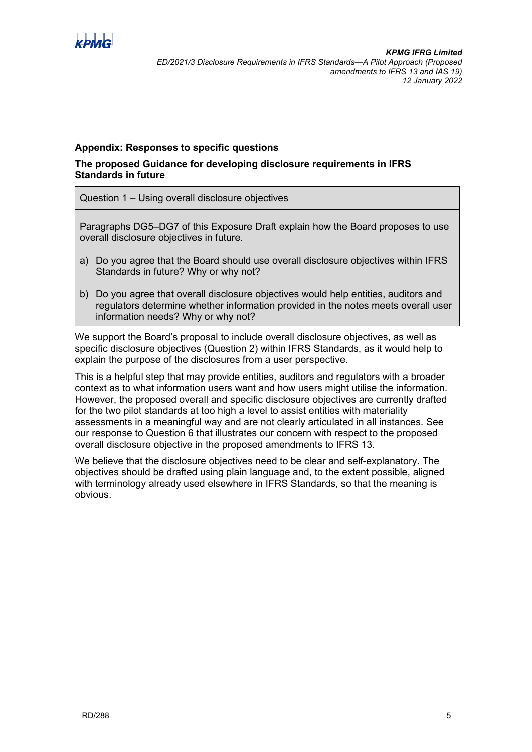

### **Appendix: Responses to specific questions**

## **The proposed Guidance for developing disclosure requirements in IFRS Standards in future**

Question 1 – Using overall disclosure objectives

Paragraphs DG5–DG7 of this Exposure Draft explain how the Board proposes to use overall disclosure objectives in future.

- a) Do you agree that the Board should use overall disclosure objectives within IFRS Standards in future? Why or why not?
- b) Do you agree that overall disclosure objectives would help entities, auditors and regulators determine whether information provided in the notes meets overall user information needs? Why or why not?

We support the Board's proposal to include overall disclosure objectives, as well as specific disclosure objectives (Question 2) within IFRS Standards, as it would help to explain the purpose of the disclosures from a user perspective.

This is a helpful step that may provide entities, auditors and regulators with a broader context as to what information users want and how users might utilise the information. However, the proposed overall and specific disclosure objectives are currently drafted for the two pilot standards at too high a level to assist entities with materiality assessments in a meaningful way and are not clearly articulated in all instances. See our response to Question 6 that illustrates our concern with respect to the proposed overall disclosure objective in the proposed amendments to IFRS 13.

We believe that the disclosure objectives need to be clear and self-explanatory. The objectives should be drafted using plain language and, to the extent possible, aligned with terminology already used elsewhere in IFRS Standards, so that the meaning is obvious.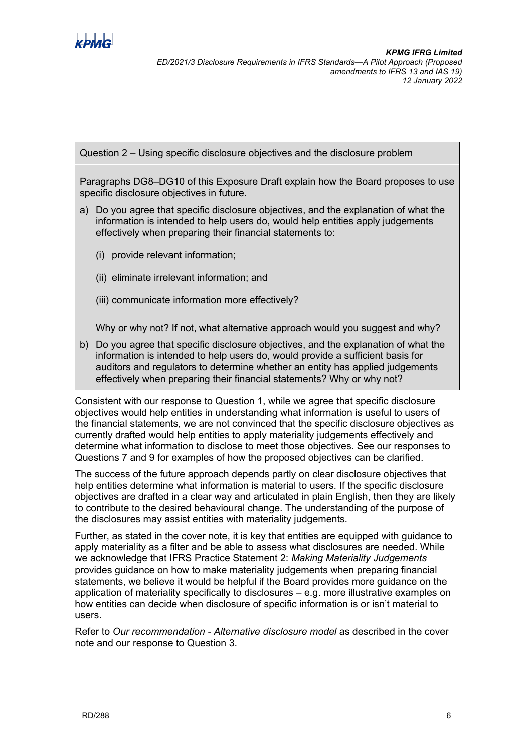

Question 2 – Using specific disclosure objectives and the disclosure problem

Paragraphs DG8–DG10 of this Exposure Draft explain how the Board proposes to use specific disclosure objectives in future.

- a) Do you agree that specific disclosure objectives, and the explanation of what the information is intended to help users do, would help entities apply judgements effectively when preparing their financial statements to:
	- (i) provide relevant information;
	- (ii) eliminate irrelevant information; and
	- (iii) communicate information more effectively?

Why or why not? If not, what alternative approach would you suggest and why?

b) Do you agree that specific disclosure objectives, and the explanation of what the information is intended to help users do, would provide a sufficient basis for auditors and regulators to determine whether an entity has applied judgements effectively when preparing their financial statements? Why or why not?

Consistent with our response to Question 1, while we agree that specific disclosure objectives would help entities in understanding what information is useful to users of the financial statements, we are not convinced that the specific disclosure objectives as currently drafted would help entities to apply materiality judgements effectively and determine what information to disclose to meet those objectives. See our responses to Questions 7 and 9 for examples of how the proposed objectives can be clarified.

The success of the future approach depends partly on clear disclosure objectives that help entities determine what information is material to users. If the specific disclosure objectives are drafted in a clear way and articulated in plain English, then they are likely to contribute to the desired behavioural change. The understanding of the purpose of the disclosures may assist entities with materiality judgements.

Further, as stated in the cover note, it is key that entities are equipped with guidance to apply materiality as a filter and be able to assess what disclosures are needed. While we acknowledge that IFRS Practice Statement 2: *Making Materiality Judgements* provides guidance on how to make materiality judgements when preparing financial statements, we believe it would be helpful if the Board provides more guidance on the application of materiality specifically to disclosures – e.g. more illustrative examples on how entities can decide when disclosure of specific information is or isn't material to users.

Refer to *Our recommendation - Alternative disclosure model* as described in the cover note and our response to Question 3.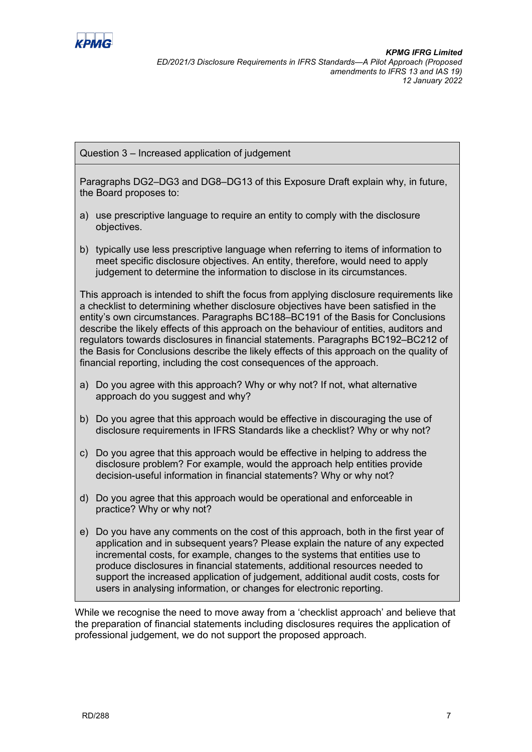

Question 3 – Increased application of judgement

Paragraphs DG2–DG3 and DG8–DG13 of this Exposure Draft explain why, in future, the Board proposes to:

- a) use prescriptive language to require an entity to comply with the disclosure objectives.
- b) typically use less prescriptive language when referring to items of information to meet specific disclosure objectives. An entity, therefore, would need to apply judgement to determine the information to disclose in its circumstances.

This approach is intended to shift the focus from applying disclosure requirements like a checklist to determining whether disclosure objectives have been satisfied in the entity's own circumstances. Paragraphs BC188–BC191 of the Basis for Conclusions describe the likely effects of this approach on the behaviour of entities, auditors and regulators towards disclosures in financial statements. Paragraphs BC192–BC212 of the Basis for Conclusions describe the likely effects of this approach on the quality of financial reporting, including the cost consequences of the approach.

- a) Do you agree with this approach? Why or why not? If not, what alternative approach do you suggest and why?
- b) Do you agree that this approach would be effective in discouraging the use of disclosure requirements in IFRS Standards like a checklist? Why or why not?
- c) Do you agree that this approach would be effective in helping to address the disclosure problem? For example, would the approach help entities provide decision-useful information in financial statements? Why or why not?
- d) Do you agree that this approach would be operational and enforceable in practice? Why or why not?
- e) Do you have any comments on the cost of this approach, both in the first year of application and in subsequent years? Please explain the nature of any expected incremental costs, for example, changes to the systems that entities use to produce disclosures in financial statements, additional resources needed to support the increased application of judgement, additional audit costs, costs for users in analysing information, or changes for electronic reporting.

While we recognise the need to move away from a 'checklist approach' and believe that the preparation of financial statements including disclosures requires the application of professional judgement, we do not support the proposed approach.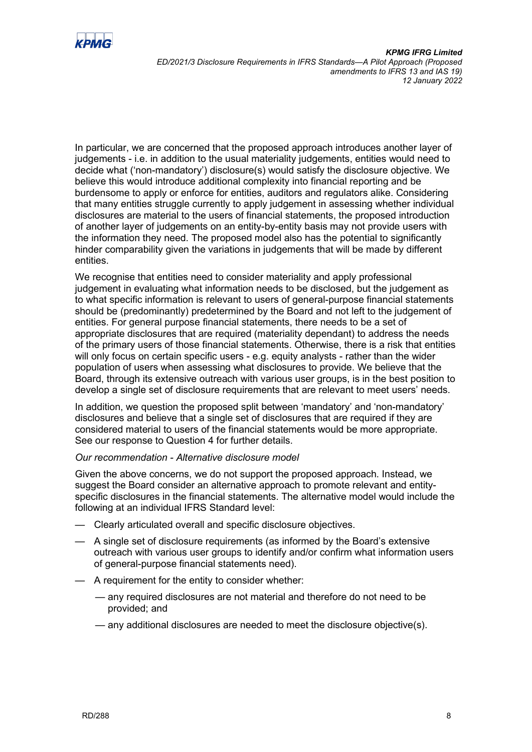

In particular, we are concerned that the proposed approach introduces another layer of judgements - i.e. in addition to the usual materiality judgements, entities would need to decide what ('non-mandatory') disclosure(s) would satisfy the disclosure objective. We believe this would introduce additional complexity into financial reporting and be burdensome to apply or enforce for entities, auditors and regulators alike. Considering that many entities struggle currently to apply judgement in assessing whether individual disclosures are material to the users of financial statements, the proposed introduction of another layer of judgements on an entity-by-entity basis may not provide users with the information they need. The proposed model also has the potential to significantly hinder comparability given the variations in judgements that will be made by different entities.

We recognise that entities need to consider materiality and apply professional judgement in evaluating what information needs to be disclosed, but the judgement as to what specific information is relevant to users of general-purpose financial statements should be (predominantly) predetermined by the Board and not left to the judgement of entities. For general purpose financial statements, there needs to be a set of appropriate disclosures that are required (materiality dependant) to address the needs of the primary users of those financial statements. Otherwise, there is a risk that entities will only focus on certain specific users - e.g. equity analysts - rather than the wider population of users when assessing what disclosures to provide. We believe that the Board, through its extensive outreach with various user groups, is in the best position to develop a single set of disclosure requirements that are relevant to meet users' needs.

In addition, we question the proposed split between 'mandatory' and 'non-mandatory' disclosures and believe that a single set of disclosures that are required if they are considered material to users of the financial statements would be more appropriate. See our response to Question 4 for further details.

#### *Our recommendation - Alternative disclosure model*

Given the above concerns, we do not support the proposed approach. Instead, we suggest the Board consider an alternative approach to promote relevant and entityspecific disclosures in the financial statements. The alternative model would include the following at an individual IFRS Standard level:

- Clearly articulated overall and specific disclosure objectives.
- A single set of disclosure requirements (as informed by the Board's extensive outreach with various user groups to identify and/or confirm what information users of general-purpose financial statements need).
- A requirement for the entity to consider whether:
	- any required disclosures are not material and therefore do not need to be provided; and
	- any additional disclosures are needed to meet the disclosure objective(s).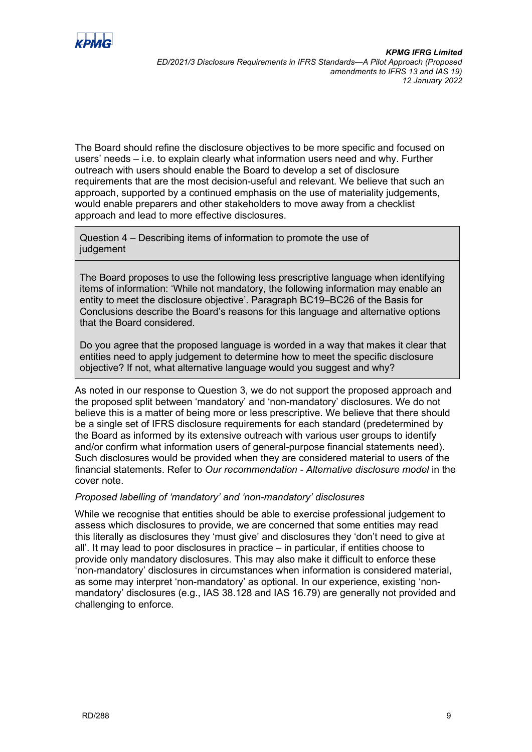

The Board should refine the disclosure objectives to be more specific and focused on users' needs – i.e. to explain clearly what information users need and why. Further outreach with users should enable the Board to develop a set of disclosure requirements that are the most decision-useful and relevant. We believe that such an approach, supported by a continued emphasis on the use of materiality judgements, would enable preparers and other stakeholders to move away from a checklist approach and lead to more effective disclosures.

Question 4 – Describing items of information to promote the use of judgement

The Board proposes to use the following less prescriptive language when identifying items of information: 'While not mandatory, the following information may enable an entity to meet the disclosure objective'. Paragraph BC19–BC26 of the Basis for Conclusions describe the Board's reasons for this language and alternative options that the Board considered.

Do you agree that the proposed language is worded in a way that makes it clear that entities need to apply judgement to determine how to meet the specific disclosure objective? If not, what alternative language would you suggest and why?

As noted in our response to Question 3, we do not support the proposed approach and the proposed split between 'mandatory' and 'non-mandatory' disclosures. We do not believe this is a matter of being more or less prescriptive. We believe that there should be a single set of IFRS disclosure requirements for each standard (predetermined by the Board as informed by its extensive outreach with various user groups to identify and/or confirm what information users of general-purpose financial statements need). Such disclosures would be provided when they are considered material to users of the financial statements. Refer to *Our recommendation - Alternative disclosure model* in the cover note.

## *Proposed labelling of 'mandatory' and 'non-mandatory' disclosures*

While we recognise that entities should be able to exercise professional judgement to assess which disclosures to provide, we are concerned that some entities may read this literally as disclosures they 'must give' and disclosures they 'don't need to give at all'. It may lead to poor disclosures in practice – in particular, if entities choose to provide only mandatory disclosures. This may also make it difficult to enforce these 'non-mandatory' disclosures in circumstances when information is considered material, as some may interpret 'non-mandatory' as optional. In our experience, existing 'nonmandatory' disclosures (e.g., IAS 38.128 and IAS 16.79) are generally not provided and challenging to enforce.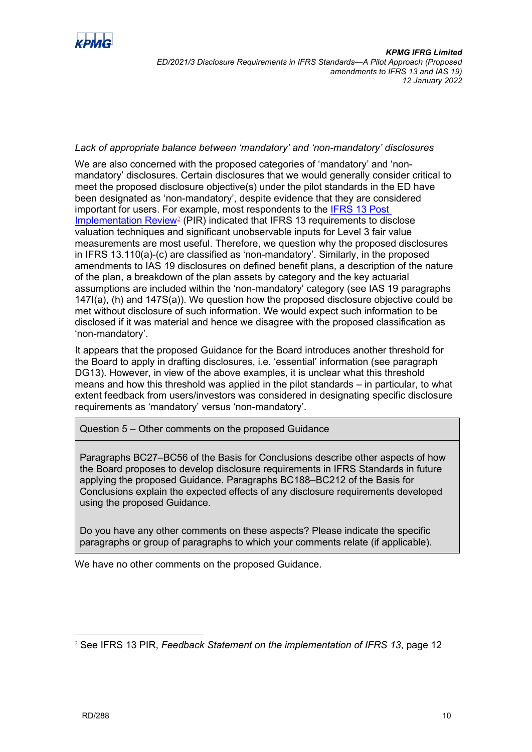

### *Lack of appropriate balance between 'mandatory' and 'non-mandatory' disclosures*

We are also concerned with the proposed categories of 'mandatory' and 'nonmandatory' disclosures. Certain disclosures that we would generally consider critical to meet the proposed disclosure objective(s) under the pilot standards in the ED have been designated as 'non-mandatory', despite evidence that they are considered important for users. For example, most respondents to the [IFRS 13 Post](https://www.ifrs.org/content/dam/ifrs/project/pir-ifrs-13/published-documents/pir-ifrs-13-feedback-statement-dec-2018.pdf)  [Implementation Review](https://www.ifrs.org/content/dam/ifrs/project/pir-ifrs-13/published-documents/pir-ifrs-13-feedback-statement-dec-2018.pdf)<sup>[2](#page-9-0)</sup> (PIR) indicated that IFRS 13 requirements to disclose valuation techniques and significant unobservable inputs for Level 3 fair value measurements are most useful. Therefore, we question why the proposed disclosures in IFRS 13.110(a)-(c) are classified as 'non-mandatory'. Similarly, in the proposed amendments to IAS 19 disclosures on defined benefit plans, a description of the nature of the plan, a breakdown of the plan assets by category and the key actuarial assumptions are included within the 'non-mandatory' category (see IAS 19 paragraphs 147I(a), (h) and 147S(a)). We question how the proposed disclosure objective could be met without disclosure of such information. We would expect such information to be disclosed if it was material and hence we disagree with the proposed classification as 'non-mandatory'.

It appears that the proposed Guidance for the Board introduces another threshold for the Board to apply in drafting disclosures, i.e. 'essential' information (see paragraph DG13). However, in view of the above examples, it is unclear what this threshold means and how this threshold was applied in the pilot standards – in particular, to what extent feedback from users/investors was considered in designating specific disclosure requirements as 'mandatory' versus 'non-mandatory'.

Question 5 – Other comments on the proposed Guidance

Paragraphs BC27–BC56 of the Basis for Conclusions describe other aspects of how the Board proposes to develop disclosure requirements in IFRS Standards in future applying the proposed Guidance. Paragraphs BC188–BC212 of the Basis for Conclusions explain the expected effects of any disclosure requirements developed using the proposed Guidance.

Do you have any other comments on these aspects? Please indicate the specific paragraphs or group of paragraphs to which your comments relate (if applicable).

We have no other comments on the proposed Guidance.

<span id="page-9-0"></span><sup>2</sup> See IFRS 13 PIR, *Feedback Statement on the implementation of IFRS 13*, page 12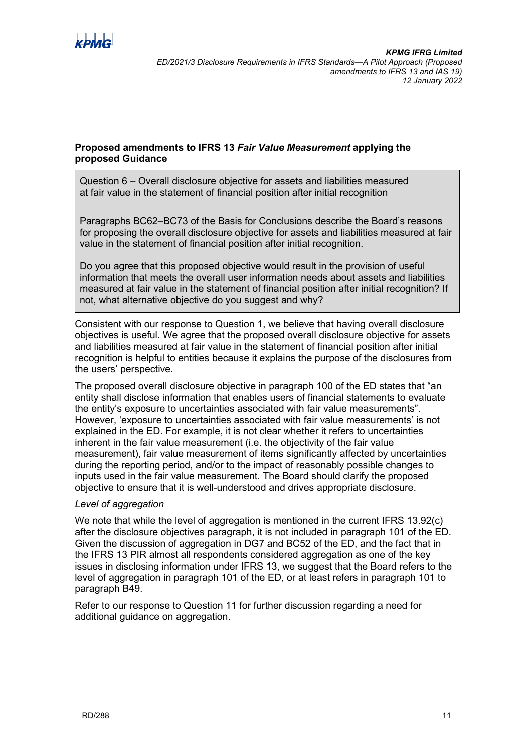

# **Proposed amendments to IFRS 13** *Fair Value Measurement* **applying the proposed Guidance**

Question 6 – Overall disclosure objective for assets and liabilities measured at fair value in the statement of financial position after initial recognition

Paragraphs BC62–BC73 of the Basis for Conclusions describe the Board's reasons for proposing the overall disclosure objective for assets and liabilities measured at fair value in the statement of financial position after initial recognition.

Do you agree that this proposed objective would result in the provision of useful information that meets the overall user information needs about assets and liabilities measured at fair value in the statement of financial position after initial recognition? If not, what alternative objective do you suggest and why?

Consistent with our response to Question 1, we believe that having overall disclosure objectives is useful. We agree that the proposed overall disclosure objective for assets and liabilities measured at fair value in the statement of financial position after initial recognition is helpful to entities because it explains the purpose of the disclosures from the users' perspective.

The proposed overall disclosure objective in paragraph 100 of the ED states that "an entity shall disclose information that enables users of financial statements to evaluate the entity's exposure to uncertainties associated with fair value measurements". However, 'exposure to uncertainties associated with fair value measurements' is not explained in the ED. For example, it is not clear whether it refers to uncertainties inherent in the fair value measurement (i.e. the objectivity of the fair value measurement), fair value measurement of items significantly affected by uncertainties during the reporting period, and/or to the impact of reasonably possible changes to inputs used in the fair value measurement. The Board should clarify the proposed objective to ensure that it is well-understood and drives appropriate disclosure.

## *Level of aggregation*

We note that while the level of aggregation is mentioned in the current IFRS 13.92(c) after the disclosure objectives paragraph, it is not included in paragraph 101 of the ED. Given the discussion of aggregation in DG7 and BC52 of the ED, and the fact that in the IFRS 13 PIR almost all respondents considered aggregation as one of the key issues in disclosing information under IFRS 13, we suggest that the Board refers to the level of aggregation in paragraph 101 of the ED, or at least refers in paragraph 101 to paragraph B49.

Refer to our response to Question 11 for further discussion regarding a need for additional guidance on aggregation.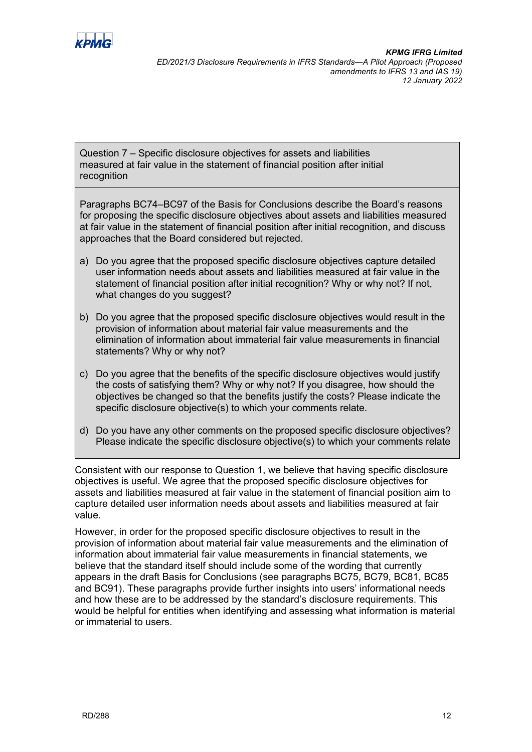

Question 7 – Specific disclosure objectives for assets and liabilities measured at fair value in the statement of financial position after initial recognition

Paragraphs BC74–BC97 of the Basis for Conclusions describe the Board's reasons for proposing the specific disclosure objectives about assets and liabilities measured at fair value in the statement of financial position after initial recognition, and discuss approaches that the Board considered but rejected.

- a) Do you agree that the proposed specific disclosure objectives capture detailed user information needs about assets and liabilities measured at fair value in the statement of financial position after initial recognition? Why or why not? If not, what changes do you suggest?
- b) Do you agree that the proposed specific disclosure objectives would result in the provision of information about material fair value measurements and the elimination of information about immaterial fair value measurements in financial statements? Why or why not?
- c) Do you agree that the benefits of the specific disclosure objectives would justify the costs of satisfying them? Why or why not? If you disagree, how should the objectives be changed so that the benefits justify the costs? Please indicate the specific disclosure objective(s) to which your comments relate.
- d) Do you have any other comments on the proposed specific disclosure objectives? Please indicate the specific disclosure objective(s) to which your comments relate

Consistent with our response to Question 1, we believe that having specific disclosure objectives is useful. We agree that the proposed specific disclosure objectives for assets and liabilities measured at fair value in the statement of financial position aim to capture detailed user information needs about assets and liabilities measured at fair value.

However, in order for the proposed specific disclosure objectives to result in the provision of information about material fair value measurements and the elimination of information about immaterial fair value measurements in financial statements, we believe that the standard itself should include some of the wording that currently appears in the draft Basis for Conclusions (see paragraphs BC75, BC79, BC81, BC85 and BC91). These paragraphs provide further insights into users' informational needs and how these are to be addressed by the standard's disclosure requirements. This would be helpful for entities when identifying and assessing what information is material or immaterial to users.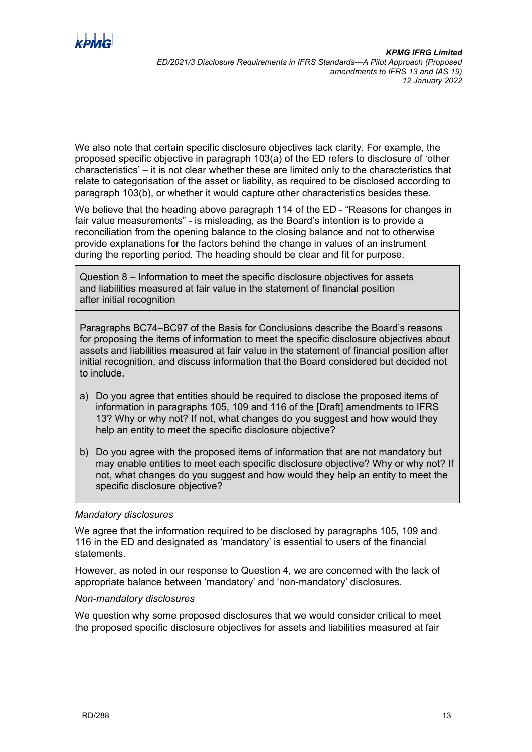

We also note that certain specific disclosure objectives lack clarity. For example, the proposed specific objective in paragraph 103(a) of the ED refers to disclosure of 'other characteristics' – it is not clear whether these are limited only to the characteristics that relate to categorisation of the asset or liability, as required to be disclosed according to paragraph 103(b), or whether it would capture other characteristics besides these.

We believe that the heading above paragraph 114 of the ED - "Reasons for changes in fair value measurements" - is misleading, as the Board's intention is to provide a reconciliation from the opening balance to the closing balance and not to otherwise provide explanations for the factors behind the change in values of an instrument during the reporting period. The heading should be clear and fit for purpose.

Question 8 – Information to meet the specific disclosure objectives for assets and liabilities measured at fair value in the statement of financial position after initial recognition

Paragraphs BC74–BC97 of the Basis for Conclusions describe the Board's reasons for proposing the items of information to meet the specific disclosure objectives about assets and liabilities measured at fair value in the statement of financial position after initial recognition, and discuss information that the Board considered but decided not to include.

- a) Do you agree that entities should be required to disclose the proposed items of information in paragraphs 105, 109 and 116 of the [Draft] amendments to IFRS 13? Why or why not? If not, what changes do you suggest and how would they help an entity to meet the specific disclosure objective?
- b) Do you agree with the proposed items of information that are not mandatory but may enable entities to meet each specific disclosure objective? Why or why not? If not, what changes do you suggest and how would they help an entity to meet the specific disclosure objective?

## *Mandatory disclosures*

We agree that the information required to be disclosed by paragraphs 105, 109 and 116 in the ED and designated as 'mandatory' is essential to users of the financial statements.

However, as noted in our response to Question 4, we are concerned with the lack of appropriate balance between 'mandatory' and 'non-mandatory' disclosures.

## *Non-mandatory disclosures*

We question why some proposed disclosures that we would consider critical to meet the proposed specific disclosure objectives for assets and liabilities measured at fair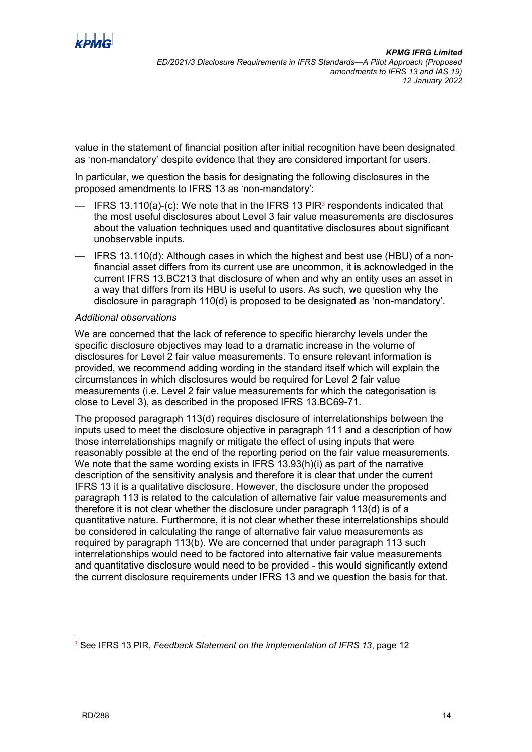

value in the statement of financial position after initial recognition have been designated as 'non-mandatory' despite evidence that they are considered important for users.

In particular, we question the basis for designating the following disclosures in the proposed amendments to IFRS 13 as 'non-mandatory':

- IFRS 1[3](#page-13-0).110(a)-(c): We note that in the IFRS 13 PIR<sup>3</sup> respondents indicated that the most useful disclosures about Level 3 fair value measurements are disclosures about the valuation techniques used and quantitative disclosures about significant unobservable inputs.
- IFRS 13.110(d): Although cases in which the highest and best use (HBU) of a nonfinancial asset differs from its current use are uncommon, it is acknowledged in the current IFRS 13.BC213 that disclosure of when and why an entity uses an asset in a way that differs from its HBU is useful to users. As such, we question why the disclosure in paragraph 110(d) is proposed to be designated as 'non-mandatory'.

#### *Additional observations*

We are concerned that the lack of reference to specific hierarchy levels under the specific disclosure objectives may lead to a dramatic increase in the volume of disclosures for Level 2 fair value measurements. To ensure relevant information is provided, we recommend adding wording in the standard itself which will explain the circumstances in which disclosures would be required for Level 2 fair value measurements (i.e. Level 2 fair value measurements for which the categorisation is close to Level 3), as described in the proposed IFRS 13.BC69-71.

The proposed paragraph 113(d) requires disclosure of interrelationships between the inputs used to meet the disclosure objective in paragraph 111 and a description of how those interrelationships magnify or mitigate the effect of using inputs that were reasonably possible at the end of the reporting period on the fair value measurements. We note that the same wording exists in IFRS 13.93(h)(i) as part of the narrative description of the sensitivity analysis and therefore it is clear that under the current IFRS 13 it is a qualitative disclosure. However, the disclosure under the proposed paragraph 113 is related to the calculation of alternative fair value measurements and therefore it is not clear whether the disclosure under paragraph 113(d) is of a quantitative nature. Furthermore, it is not clear whether these interrelationships should be considered in calculating the range of alternative fair value measurements as required by paragraph 113(b). We are concerned that under paragraph 113 such interrelationships would need to be factored into alternative fair value measurements and quantitative disclosure would need to be provided - this would significantly extend the current disclosure requirements under IFRS 13 and we question the basis for that.

<span id="page-13-0"></span><sup>3</sup> See IFRS 13 PIR, *Feedback Statement on the implementation of IFRS 13*, page 12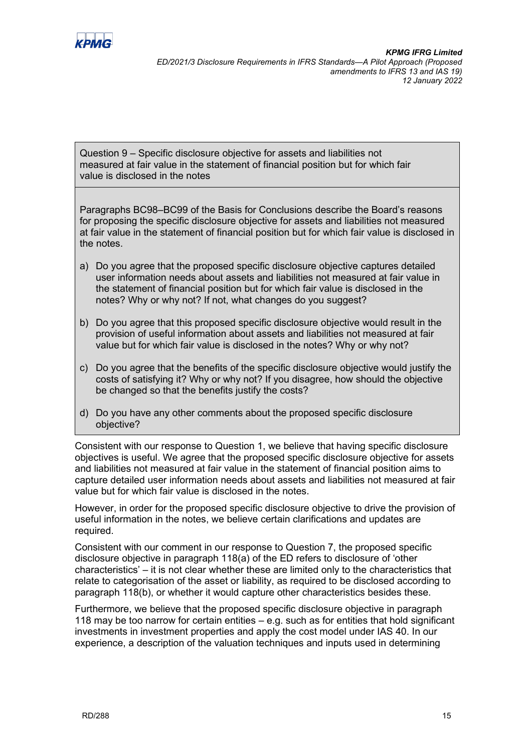

Question 9 – Specific disclosure objective for assets and liabilities not measured at fair value in the statement of financial position but for which fair value is disclosed in the notes

Paragraphs BC98–BC99 of the Basis for Conclusions describe the Board's reasons for proposing the specific disclosure objective for assets and liabilities not measured at fair value in the statement of financial position but for which fair value is disclosed in the notes.

- a) Do you agree that the proposed specific disclosure objective captures detailed user information needs about assets and liabilities not measured at fair value in the statement of financial position but for which fair value is disclosed in the notes? Why or why not? If not, what changes do you suggest?
- b) Do you agree that this proposed specific disclosure objective would result in the provision of useful information about assets and liabilities not measured at fair value but for which fair value is disclosed in the notes? Why or why not?
- c) Do you agree that the benefits of the specific disclosure objective would justify the costs of satisfying it? Why or why not? If you disagree, how should the objective be changed so that the benefits justify the costs?
- d) Do you have any other comments about the proposed specific disclosure objective?

Consistent with our response to Question 1, we believe that having specific disclosure objectives is useful. We agree that the proposed specific disclosure objective for assets and liabilities not measured at fair value in the statement of financial position aims to capture detailed user information needs about assets and liabilities not measured at fair value but for which fair value is disclosed in the notes.

However, in order for the proposed specific disclosure objective to drive the provision of useful information in the notes, we believe certain clarifications and updates are required.

Consistent with our comment in our response to Question 7, the proposed specific disclosure objective in paragraph 118(a) of the ED refers to disclosure of 'other characteristics' – it is not clear whether these are limited only to the characteristics that relate to categorisation of the asset or liability, as required to be disclosed according to paragraph 118(b), or whether it would capture other characteristics besides these.

Furthermore, we believe that the proposed specific disclosure objective in paragraph 118 may be too narrow for certain entities – e.g. such as for entities that hold significant investments in investment properties and apply the cost model under IAS 40. In our experience, a description of the valuation techniques and inputs used in determining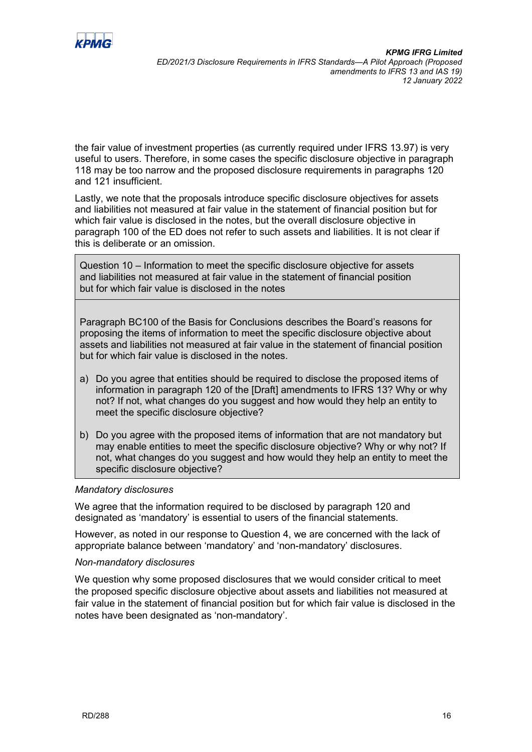

the fair value of investment properties (as currently required under IFRS 13.97) is very useful to users. Therefore, in some cases the specific disclosure objective in paragraph 118 may be too narrow and the proposed disclosure requirements in paragraphs 120 and 121 insufficient.

Lastly, we note that the proposals introduce specific disclosure objectives for assets and liabilities not measured at fair value in the statement of financial position but for which fair value is disclosed in the notes, but the overall disclosure objective in paragraph 100 of the ED does not refer to such assets and liabilities. It is not clear if this is deliberate or an omission.

Question 10 – Information to meet the specific disclosure objective for assets and liabilities not measured at fair value in the statement of financial position but for which fair value is disclosed in the notes

Paragraph BC100 of the Basis for Conclusions describes the Board's reasons for proposing the items of information to meet the specific disclosure objective about assets and liabilities not measured at fair value in the statement of financial position but for which fair value is disclosed in the notes.

- a) Do you agree that entities should be required to disclose the proposed items of information in paragraph 120 of the [Draft] amendments to IFRS 13? Why or why not? If not, what changes do you suggest and how would they help an entity to meet the specific disclosure objective?
- b) Do you agree with the proposed items of information that are not mandatory but may enable entities to meet the specific disclosure objective? Why or why not? If not, what changes do you suggest and how would they help an entity to meet the specific disclosure objective?

## *Mandatory disclosures*

We agree that the information required to be disclosed by paragraph 120 and designated as 'mandatory' is essential to users of the financial statements.

However, as noted in our response to Question 4, we are concerned with the lack of appropriate balance between 'mandatory' and 'non-mandatory' disclosures.

#### *Non-mandatory disclosures*

We question why some proposed disclosures that we would consider critical to meet the proposed specific disclosure objective about assets and liabilities not measured at fair value in the statement of financial position but for which fair value is disclosed in the notes have been designated as 'non-mandatory'.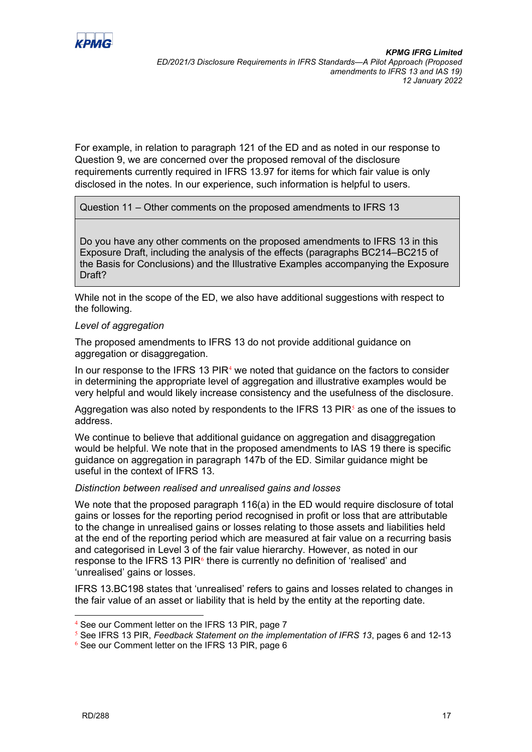

For example, in relation to paragraph 121 of the ED and as noted in our response to Question 9, we are concerned over the proposed removal of the disclosure requirements currently required in IFRS 13.97 for items for which fair value is only disclosed in the notes. In our experience, such information is helpful to users.

### Question 11 – Other comments on the proposed amendments to IFRS 13

Do you have any other comments on the proposed amendments to IFRS 13 in this Exposure Draft, including the analysis of the effects (paragraphs BC214–BC215 of the Basis for Conclusions) and the Illustrative Examples accompanying the Exposure Draft?

While not in the scope of the ED, we also have additional suggestions with respect to the following.

#### *Level of aggregation*

The proposed amendments to IFRS 13 do not provide additional guidance on aggregation or disaggregation.

In our response to the IFRS 13  $PIR<sup>4</sup>$  $PIR<sup>4</sup>$  $PIR<sup>4</sup>$  we noted that guidance on the factors to consider in determining the appropriate level of aggregation and illustrative examples would be very helpful and would likely increase consistency and the usefulness of the disclosure.

Aggregation was also noted by respondents to the IFRS 13 PIR $^5$  $^5$  as one of the issues to address.

We continue to believe that additional guidance on aggregation and disaggregation would be helpful. We note that in the proposed amendments to IAS 19 there is specific guidance on aggregation in paragraph 147b of the ED. Similar guidance might be useful in the context of IFRS 13.

#### *Distinction between realised and unrealised gains and losses*

We note that the proposed paragraph 116(a) in the ED would require disclosure of total gains or losses for the reporting period recognised in profit or loss that are attributable to the change in unrealised gains or losses relating to those assets and liabilities held at the end of the reporting period which are measured at fair value on a recurring basis and categorised in Level 3 of the fair value hierarchy. However, as noted in our response to the IFRS 13 PIR $6$  there is currently no definition of 'realised' and 'unrealised' gains or losses.

IFRS 13.BC198 states that 'unrealised' refers to gains and losses related to changes in the fair value of an asset or liability that is held by the entity at the reporting date.

<span id="page-16-0"></span><sup>4</sup> See our Comment letter on the IFRS 13 PIR, page 7

<span id="page-16-1"></span><sup>5</sup> See IFRS 13 PIR, *Feedback Statement on the implementation of IFRS 13*, pages 6 and 12-13

<span id="page-16-2"></span><sup>6</sup> See our Comment letter on the IFRS 13 PIR, page 6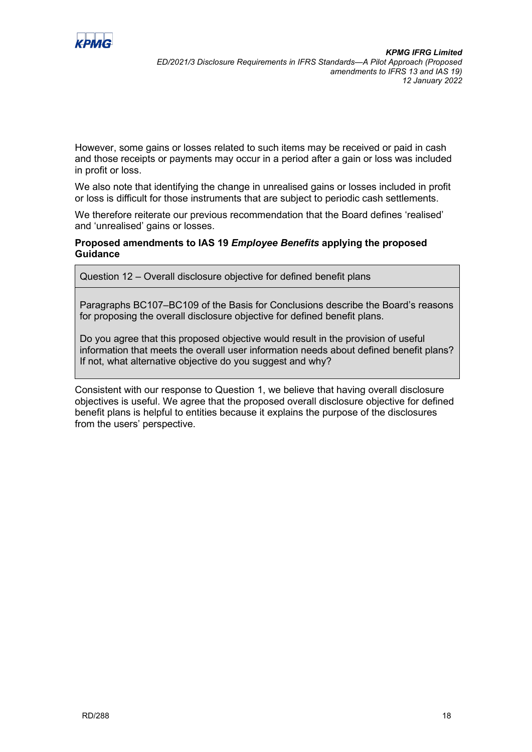

However, some gains or losses related to such items may be received or paid in cash and those receipts or payments may occur in a period after a gain or loss was included in profit or loss.

We also note that identifying the change in unrealised gains or losses included in profit or loss is difficult for those instruments that are subject to periodic cash settlements.

We therefore reiterate our previous recommendation that the Board defines 'realised' and 'unrealised' gains or losses.

## **Proposed amendments to IAS 19** *Employee Benefits* **applying the proposed Guidance**

Question 12 – Overall disclosure objective for defined benefit plans

Paragraphs BC107–BC109 of the Basis for Conclusions describe the Board's reasons for proposing the overall disclosure objective for defined benefit plans.

Do you agree that this proposed objective would result in the provision of useful information that meets the overall user information needs about defined benefit plans? If not, what alternative objective do you suggest and why?

Consistent with our response to Question 1, we believe that having overall disclosure objectives is useful. We agree that the proposed overall disclosure objective for defined benefit plans is helpful to entities because it explains the purpose of the disclosures from the users' perspective.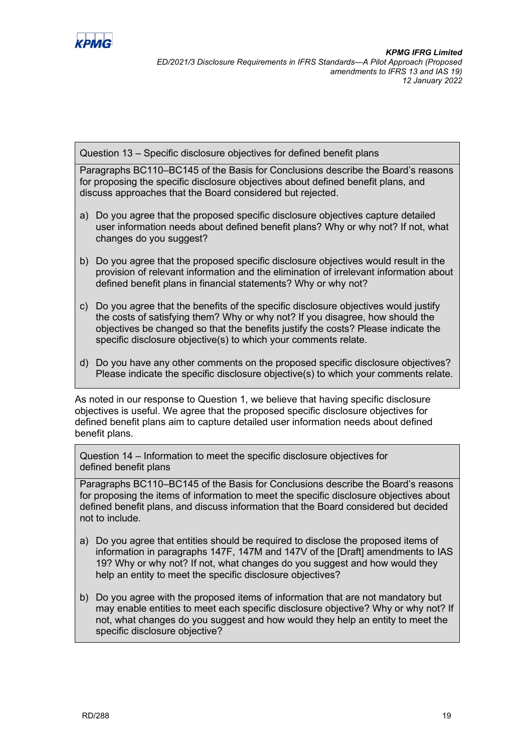

Question 13 – Specific disclosure objectives for defined benefit plans

Paragraphs BC110–BC145 of the Basis for Conclusions describe the Board's reasons for proposing the specific disclosure objectives about defined benefit plans, and discuss approaches that the Board considered but rejected.

- a) Do you agree that the proposed specific disclosure objectives capture detailed user information needs about defined benefit plans? Why or why not? If not, what changes do you suggest?
- b) Do you agree that the proposed specific disclosure objectives would result in the provision of relevant information and the elimination of irrelevant information about defined benefit plans in financial statements? Why or why not?
- c) Do you agree that the benefits of the specific disclosure objectives would justify the costs of satisfying them? Why or why not? If you disagree, how should the objectives be changed so that the benefits justify the costs? Please indicate the specific disclosure objective(s) to which your comments relate.
- d) Do you have any other comments on the proposed specific disclosure objectives? Please indicate the specific disclosure objective(s) to which your comments relate.

As noted in our response to Question 1, we believe that having specific disclosure objectives is useful. We agree that the proposed specific disclosure objectives for defined benefit plans aim to capture detailed user information needs about defined benefit plans.

Question 14 – Information to meet the specific disclosure objectives for defined benefit plans

Paragraphs BC110–BC145 of the Basis for Conclusions describe the Board's reasons for proposing the items of information to meet the specific disclosure objectives about defined benefit plans, and discuss information that the Board considered but decided not to include.

- a) Do you agree that entities should be required to disclose the proposed items of information in paragraphs 147F, 147M and 147V of the [Draft] amendments to IAS 19? Why or why not? If not, what changes do you suggest and how would they help an entity to meet the specific disclosure objectives?
- b) Do you agree with the proposed items of information that are not mandatory but may enable entities to meet each specific disclosure objective? Why or why not? If not, what changes do you suggest and how would they help an entity to meet the specific disclosure objective?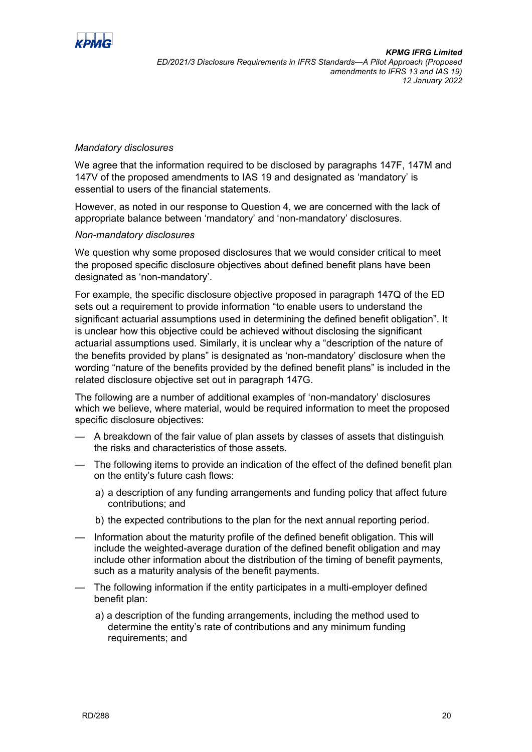

## *Mandatory disclosures*

We agree that the information required to be disclosed by paragraphs 147F, 147M and 147V of the proposed amendments to IAS 19 and designated as 'mandatory' is essential to users of the financial statements.

However, as noted in our response to Question 4, we are concerned with the lack of appropriate balance between 'mandatory' and 'non-mandatory' disclosures.

### *Non-mandatory disclosures*

We question why some proposed disclosures that we would consider critical to meet the proposed specific disclosure objectives about defined benefit plans have been designated as 'non-mandatory'.

For example, the specific disclosure objective proposed in paragraph 147Q of the ED sets out a requirement to provide information "to enable users to understand the significant actuarial assumptions used in determining the defined benefit obligation". It is unclear how this objective could be achieved without disclosing the significant actuarial assumptions used. Similarly, it is unclear why a "description of the nature of the benefits provided by plans" is designated as 'non-mandatory' disclosure when the wording "nature of the benefits provided by the defined benefit plans" is included in the related disclosure objective set out in paragraph 147G.

The following are a number of additional examples of 'non-mandatory' disclosures which we believe, where material, would be required information to meet the proposed specific disclosure objectives:

- A breakdown of the fair value of plan assets by classes of assets that distinguish the risks and characteristics of those assets.
- The following items to provide an indication of the effect of the defined benefit plan on the entity's future cash flows:
	- a) a description of any funding arrangements and funding policy that affect future contributions; and
	- b) the expected contributions to the plan for the next annual reporting period.
- Information about the maturity profile of the defined benefit obligation. This will include the weighted-average duration of the defined benefit obligation and may include other information about the distribution of the timing of benefit payments, such as a maturity analysis of the benefit payments.
- The following information if the entity participates in a multi-employer defined benefit plan:
	- a) a description of the funding arrangements, including the method used to determine the entity's rate of contributions and any minimum funding requirements; and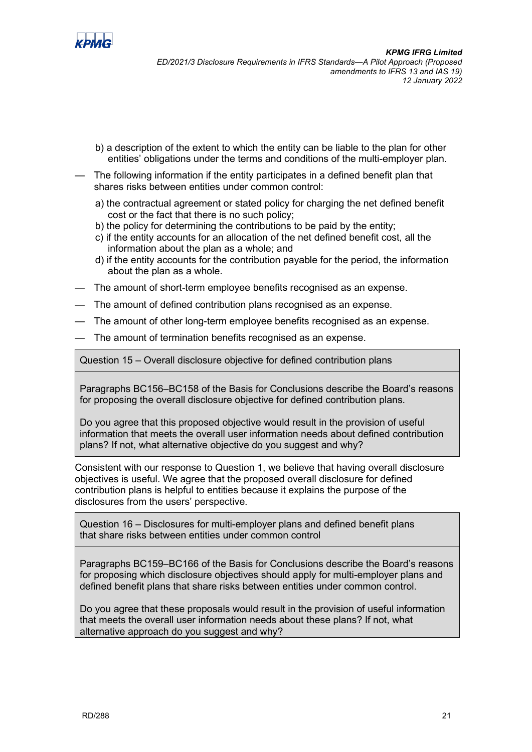

- b) a description of the extent to which the entity can be liable to the plan for other entities' obligations under the terms and conditions of the multi-employer plan.
- The following information if the entity participates in a defined benefit plan that shares risks between entities under common control:
	- a) the contractual agreement or stated policy for charging the net defined benefit cost or the fact that there is no such policy;
	- b) the policy for determining the contributions to be paid by the entity;
	- c) if the entity accounts for an allocation of the net defined benefit cost, all the information about the plan as a whole; and
	- d) if the entity accounts for the contribution payable for the period, the information about the plan as a whole.
- The amount of short-term employee benefits recognised as an expense.
- The amount of defined contribution plans recognised as an expense.
- The amount of other long-term employee benefits recognised as an expense.
- The amount of termination benefits recognised as an expense.

Question 15 – Overall disclosure objective for defined contribution plans

Paragraphs BC156–BC158 of the Basis for Conclusions describe the Board's reasons for proposing the overall disclosure objective for defined contribution plans.

Do you agree that this proposed objective would result in the provision of useful information that meets the overall user information needs about defined contribution plans? If not, what alternative objective do you suggest and why?

Consistent with our response to Question 1, we believe that having overall disclosure objectives is useful. We agree that the proposed overall disclosure for defined contribution plans is helpful to entities because it explains the purpose of the disclosures from the users' perspective.

Question 16 – Disclosures for multi-employer plans and defined benefit plans that share risks between entities under common control

Paragraphs BC159–BC166 of the Basis for Conclusions describe the Board's reasons for proposing which disclosure objectives should apply for multi-employer plans and defined benefit plans that share risks between entities under common control.

Do you agree that these proposals would result in the provision of useful information that meets the overall user information needs about these plans? If not, what alternative approach do you suggest and why?